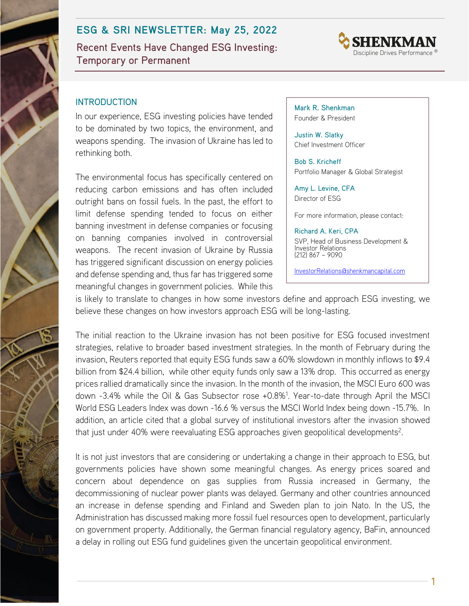# **ESG & SRI NEWSLETTER: May 25, 2022**

Recent Events Have Changed ESG Investing: Temporary or Permanent



### INTRODUCTION

In our experience, ESG investing policies have tended to be dominated by two topics, the environment, and weapons spending. The invasion of Ukraine has led to rethinking both.

The environmental focus has specifically centered on reducing carbon emissions and has often included outright bans on fossil fuels. In the past, the effort to limit defense spending tended to focus on either banning investment in defense companies or focusing on banning companies involved in controversial weapons. The recent invasion of Ukraine by Russia has triggered significant discussion on energy policies and defense spending and, thus far has triggered some meaningful changes in government policies. While this Mark R. Shenkman Founder & President

Justin W. Slatky Chief Investment Officer

Bob S. Kricheff Portfolio Manager & Global Strategist

Amy L. Levine, CFA Director of ESG

For more information, please contact:

Richard A. Keri, CPA SVP, Head of Business Development & Investor Relations (212) 867 – 9090

[InvestorRelations@shenkmancapital.com](mailto:InvestorRelations@shenkmancapital.com)

is likely to translate to changes in how some investors define and approach ESG investing, we believe these changes on how investors approach ESG will be long-lasting.

The initial reaction to the Ukraine invasion has not been positive for ESG focused investment strategies, relative to broader based investment strategies. In the month of February during the invasion, Reuters reported that equity ESG funds saw a 60% slowdown in monthly inflows to \$9.4 billion from \$24.4 billion, while other equity funds only saw a 13% drop. This occurred as energy prices rallied dramatically since the invasion. In the month of the invasion, the MSCI Euro 600 was down -3.4% while the Oil & Gas Subsector rose +0.8%<sup>1</sup>. Year-to-date through April the MSCI World ESG Leaders Index was down -16.6 % versus the MSCI World Index being down -15.7%. In addition, an article cited that a global survey of institutional investors after the invasion showed that just under 40% were reevaluating ESG approaches given geopolitical developments<sup>2</sup>.

It is not just investors that are considering or undertaking a change in their approach to ESG, but governments policies have shown some meaningful changes. As energy prices soared and concern about dependence on gas supplies from Russia increased in Germany, the decommissioning of nuclear power plants was delayed. Germany and other countries announced an increase in defense spending and Finland and Sweden plan to join Nato. In the US, the Administration has discussed making more fossil fuel resources open to development, particularly on government property. Additionally, the German financial regulatory agency, BaFin, announced a delay in rolling out ESG fund guidelines given the uncertain geopolitical environment.

1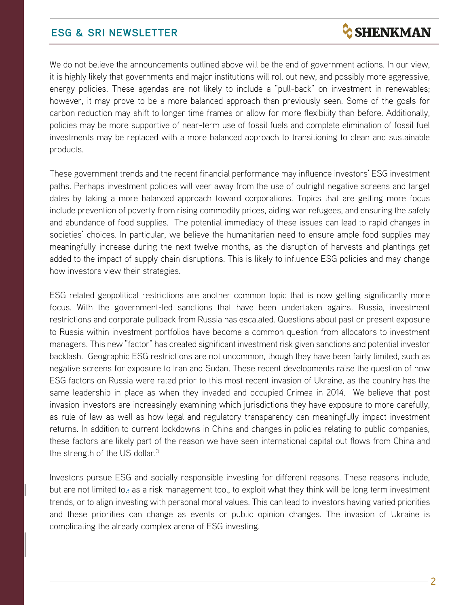## **ESG & SRI NEWSLETTER**

We do not believe the announcements outlined above will be the end of government actions. In our view, it is highly likely that governments and major institutions will roll out new, and possibly more aggressive, energy policies. These agendas are not likely to include a "pull-back" on investment in renewables; however, it may prove to be a more balanced approach than previously seen. Some of the goals for carbon reduction may shift to longer time frames or allow for more flexibility than before. Additionally, policies may be more supportive of near-term use of fossil fuels and complete elimination of fossil fuel investments may be replaced with a more balanced approach to transitioning to clean and sustainable products.

These government trends and the recent financial performance may influence investors' ESG investment paths. Perhaps investment policies will veer away from the use of outright negative screens and target dates by taking a more balanced approach toward corporations. Topics that are getting more focus include prevention of poverty from rising commodity prices, aiding war refugees, and ensuring the safety and abundance of food supplies. The potential immediacy of these issues can lead to rapid changes in societies' choices. In particular, we believe the humanitarian need to ensure ample food supplies may meaningfully increase during the next twelve months, as the disruption of harvests and plantings get added to the impact of supply chain disruptions. This is likely to influence ESG policies and may change how investors view their strategies.

ESG related geopolitical restrictions are another common topic that is now getting significantly more focus. With the government-led sanctions that have been undertaken against Russia, investment restrictions and corporate pullback from Russia has escalated. Questions about past or present exposure to Russia within investment portfolios have become a common question from allocators to investment managers. This new "factor" has created significant investment risk given sanctions and potential investor backlash. Geographic ESG restrictions are not uncommon, though they have been fairly limited, such as negative screens for exposure to Iran and Sudan. These recent developments raise the question of how ESG factors on Russia were rated prior to this most recent invasion of Ukraine, as the country has the same leadership in place as when they invaded and occupied Crimea in 2014. We believe that post invasion investors are increasingly examining which jurisdictions they have exposure to more carefully, as rule of law as well as how legal and regulatory transparency can meaningfully impact investment returns. In addition to current lockdowns in China and changes in policies relating to public companies, these factors are likely part of the reason we have seen international capital out flows from China and the strength of the US dollar.<sup>3</sup>

Investors pursue ESG and socially responsible investing for different reasons. These reasons include, but are not limited to, as a risk management tool, to exploit what they think will be long term investment trends, or to align investing with personal moral values. This can lead to investors having varied priorities and these priorities can change as events or public opinion changes. The invasion of Ukraine is complicating the already complex arena of ESG investing.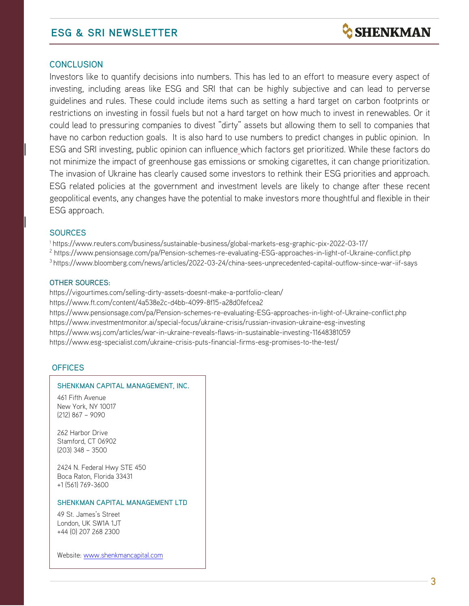## **ESG & SRI NEWSLETTER**

### **CONCLUSION**

Investors like to quantify decisions into numbers. This has led to an effort to measure every aspect of investing, including areas like ESG and SRI that can be highly subjective and can lead to perverse guidelines and rules. These could include items such as setting a hard target on carbon footprints or restrictions on investing in fossil fuels but not a hard target on how much to invest in renewables. Or it could lead to pressuring companies to divest "dirty" assets but allowing them to sell to companies that have no carbon reduction goals. It is also hard to use numbers to predict changes in public opinion. In ESG and SRI investing, public opinion can influence which factors get prioritized. While these factors do not minimize the impact of greenhouse gas emissions or smoking cigarettes, it can change prioritization. The invasion of Ukraine has clearly caused some investors to rethink their ESG priorities and approach. ESG related policies at the government and investment levels are likely to change after these recent geopolitical events, any changes have the potential to make investors more thoughtful and flexible in their ESG approach.

#### **SOURCES**

<sup>1</sup> https://www.reuters.com/business/sustainable-business/global-markets-esg-graphic-pix-2022-03-17/ <sup>2</sup> <https://www.pensionsage.com/pa/Pension-schemes-re-evaluating-ESG-approaches-in-light-of-Ukraine-conflict.php> <sup>3</sup> https://www.bloomberg.com/news/articles/2022-03-24/china-sees-unprecedented-capital-outflow-since-war-iif-says

#### OTHER SOURCES:

https://vigourtimes.com/selling-dirty-assets-doesnt-make-a-portfolio-clean/

https://www.ft.com/content/4a538e2c-d4bb-4099-8f15-a28d0fefcea2

https://www.pensionsage.com/pa/Pension-schemes-re-evaluating-ESG-approaches-in-light-of-Ukraine-conflict.php https://www.investmentmonitor.ai/special-focus/ukraine-crisis/russian-invasion-ukraine-esg-investing https://www.wsj.com/articles/war-in-ukraine-reveals-flaws-in-sustainable-investing-11648381059 https://www.esg-specialist.com/ukraine-crisis-puts-financial-firms-esg-promises-to-the-test/

### **OFFICES**

#### SHENKMAN CAPITAL MANAGEMENT, INC.

461 Fifth Avenue New York, NY 10017 (212) 867 – 9090

262 Harbor Drive Stamford, CT 06902 (203) 348 – 3500

2424 N. Federal Hwy STE 450 Boca Raton, Florida 33431 +1 (561) 769-3600

#### SHENKMAN CAPITAL MANAGEMENT LTD

49 St. James's Street London, UK SW1A 1JT +44 (0) 207 268 2300

Website: [www.shenkmancapital.com](http://www.shenkmancapital.com/)